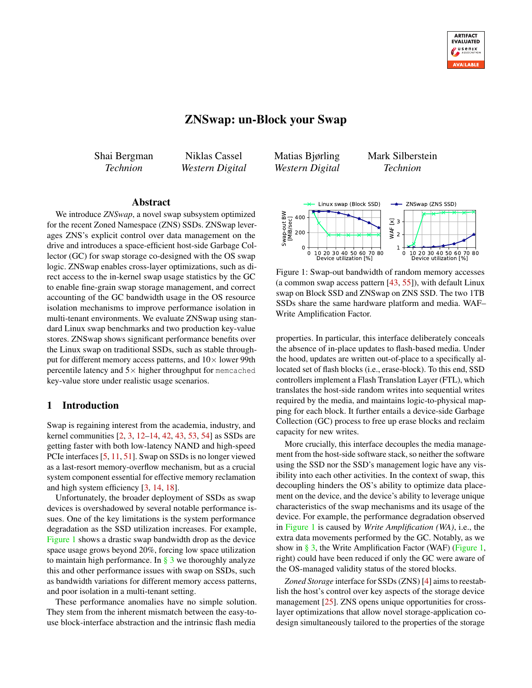# ZNSwap: un-Block your Swap

<span id="page-0-1"></span>Shai Bergman *Technion*

Niklas Cassel *Western Digital* Matias Bjørling *Western Digital* Mark Silberstein *Technion*

<span id="page-0-0"></span>

Figure 1: Swap-out bandwidth of random memory accesses (a common swap access pattern [\[43,](#page-13-1) [55\]](#page-14-3)), with default Linux swap on Block SSD and ZNSwap on ZNS SSD. The two 1TB SSDs share the same hardware platform and media. WAF– Write Amplification Factor.

properties. In particular, this interface deliberately conceals the absence of in-place updates to flash-based media. Under the hood, updates are written out-of-place to a specifically allocated set of flash blocks (i.e., erase-block). To this end, SSD controllers implement a Flash Translation Layer (FTL), which translates the host-side random writes into sequential writes required by the media, and maintains logic-to-physical mapping for each block. It further entails a device-side Garbage Collection (GC) process to free up erase blocks and reclaim capacity for new writes.

More crucially, this interface decouples the media management from the host-side software stack, so neither the software using the SSD nor the SSD's management logic have any visibility into each other activities. In the context of swap, this decoupling hinders the OS's ability to optimize data placement on the device, and the device's ability to leverage unique characteristics of the swap mechanisms and its usage of the device. For example, the performance degradation observed in [Figure 1](#page-0-0) is caused by *Write Amplification (WA)*, i.e., the extra data movements performed by the GC. Notably, as we show in  $\S$  3, the Write Amplification Factor (WAF) [\(Figure 1,](#page-0-0) right) could have been reduced if only the GC were aware of the OS-managed validity status of the stored blocks.

*Zoned Storage* interface for SSDs (ZNS) [\[4\]](#page-12-7) aims to reestablish the host's control over key aspects of the storage device management [\[25\]](#page-12-8). ZNS opens unique opportunities for crosslayer optimizations that allow novel storage-application codesign simultaneously tailored to the properties of the storage

# Abstract

We introduce *ZNSwap*, a novel swap subsystem optimized for the recent Zoned Namespace (ZNS) SSDs. ZNSwap leverages ZNS's explicit control over data management on the drive and introduces a space-efficient host-side Garbage Collector (GC) for swap storage co-designed with the OS swap logic. ZNSwap enables cross-layer optimizations, such as direct access to the in-kernel swap usage statistics by the GC to enable fine-grain swap storage management, and correct accounting of the GC bandwidth usage in the OS resource isolation mechanisms to improve performance isolation in multi-tenant environments. We evaluate ZNSwap using standard Linux swap benchmarks and two production key-value stores. ZNSwap shows significant performance benefits over the Linux swap on traditional SSDs, such as stable throughput for different memory access patterns, and  $10\times$  lower 99th percentile latency and  $5\times$  higher throughput for memcached key-value store under realistic usage scenarios.

#### 1 Introduction

Swap is regaining interest from the academia, industry, and kernel communities [\[2,](#page-12-0) [3,](#page-12-1) [12–](#page-12-2)[14,](#page-12-3) [42,](#page-13-0) [43,](#page-13-1) [53,](#page-14-0) [54\]](#page-14-1) as SSDs are getting faster with both low-latency NAND and high-speed PCIe interfaces [\[5,](#page-12-4) [11,](#page-12-5) [51\]](#page-14-2). Swap on SSDs is no longer viewed as a last-resort memory-overflow mechanism, but as a crucial system component essential for effective memory reclamation and high system efficiency [\[3,](#page-12-1) [14,](#page-12-3) [18\]](#page-12-6).

Unfortunately, the broader deployment of SSDs as swap devices is overshadowed by several notable performance issues. One of the key limitations is the system performance degradation as the SSD utilization increases. For example, [Figure 1](#page-0-0) shows a drastic swap bandwidth drop as the device space usage grows beyond 20%, forcing low space utilization to maintain high performance. In  $\S$  3 we thoroughly analyze this and other performance issues with swap on SSDs, such as bandwidth variations for different memory access patterns, and poor isolation in a multi-tenant setting.

These performance anomalies have no simple solution. They stem from the inherent mismatch between the easy-touse block-interface abstraction and the intrinsic flash media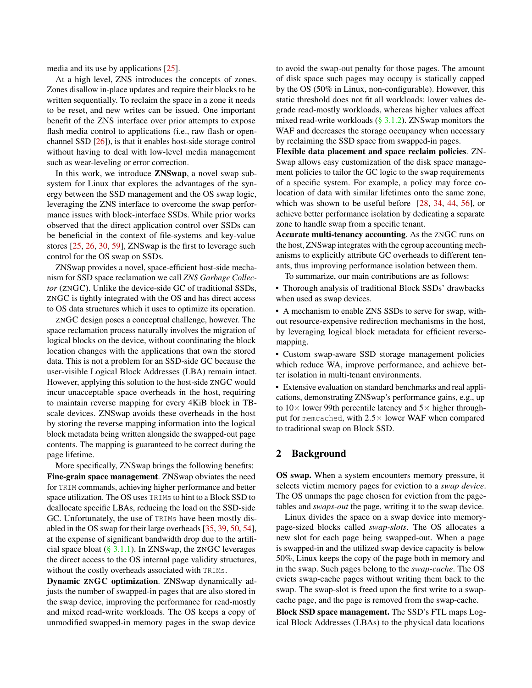media and its use by applications [\[25\]](#page-12-8).

At a high level, ZNS introduces the concepts of zones. Zones disallow in-place updates and require their blocks to be written sequentially. To reclaim the space in a zone it needs to be reset, and new writes can be issued. One important benefit of the ZNS interface over prior attempts to expose flash media control to applications (i.e., raw flash or openchannel SSD [\[26\]](#page-12-9)), is that it enables host-side storage control without having to deal with low-level media management such as wear-leveling or error correction.

In this work, we introduce ZNSwap, a novel swap subsystem for Linux that explores the advantages of the synergy between the SSD management and the OS swap logic, leveraging the ZNS interface to overcome the swap performance issues with block-interface SSDs. While prior works observed that the direct application control over SSDs can be beneficial in the context of file-systems and key-value stores [\[25,](#page-12-8) [26,](#page-12-9) [30,](#page-13-2) [59\]](#page-14-4), ZNSwap is the first to leverage such control for the OS swap on SSDs.

ZNSwap provides a novel, space-efficient host-side mechanism for SSD space reclamation we call *ZNS Garbage Collector* (ZNGC). Unlike the device-side GC of traditional SSDs, ZNGC is tightly integrated with the OS and has direct access to OS data structures which it uses to optimize its operation.

ZNGC design poses a conceptual challenge, however. The space reclamation process naturally involves the migration of logical blocks on the device, without coordinating the block location changes with the applications that own the stored data. This is not a problem for an SSD-side GC because the user-visible Logical Block Addresses (LBA) remain intact. However, applying this solution to the host-side ZNGC would incur unacceptable space overheads in the host, requiring to maintain reverse mapping for every 4KiB block in TBscale devices. ZNSwap avoids these overheads in the host by storing the reverse mapping information into the logical block metadata being written alongside the swapped-out page contents. The mapping is guaranteed to be correct during the page lifetime.

More specifically, ZNSwap brings the following benefits: Fine-grain space management. ZNSwap obviates the need for TRIM commands, achieving higher performance and better space utilization. The OS uses TRIMs to hint to a Block SSD to deallocate specific LBAs, reducing the load on the SSD-side GC. Unfortunately, the use of TRIMs have been mostly disabled in the OS swap for their large overheads [\[35,](#page-13-3) [39,](#page-13-4) [50,](#page-13-5) [54\]](#page-14-1), at the expense of significant bandwidth drop due to the artificial space bloat  $(\S 3.1.1)$ . In ZNSwap, the ZNGC leverages the direct access to the OS internal page validity structures, without the costly overheads associated with TRIMs.

Dynamic ZNGC optimization. ZNSwap dynamically adjusts the number of swapped-in pages that are also stored in the swap device, improving the performance for read-mostly and mixed read-write workloads. The OS keeps a copy of unmodified swapped-in memory pages in the swap device

to avoid the swap-out penalty for those pages. The amount of disk space such pages may occupy is statically capped by the OS (50% in Linux, non-configurable). However, this static threshold does not fit all workloads: lower values degrade read-mostly workloads, whereas higher values affect mixed read-write workloads ( $\S$  3.1.2). ZNSwap monitors the WAF and decreases the storage occupancy when necessary by reclaiming the SSD space from swapped-in pages.

Flexible data placement and space reclaim policies. ZN-Swap allows easy customization of the disk space management policies to tailor the GC logic to the swap requirements of a specific system. For example, a policy may force colocation of data with similar lifetimes onto the same zone, which was shown to be useful before [\[28,](#page-13-6) [34,](#page-13-7) [44,](#page-13-8) [56\]](#page-14-5), or achieve better performance isolation by dedicating a separate zone to handle swap from a specific tenant.

Accurate multi-tenancy accounting. As the ZNGC runs on the host, ZNSwap integrates with the cgroup accounting mechanisms to explicitly attribute GC overheads to different tenants, thus improving performance isolation between them.

To summarize, our main contributions are as follows:

• Thorough analysis of traditional Block SSDs' drawbacks when used as swap devices.

• A mechanism to enable ZNS SSDs to serve for swap, without resource-expensive redirection mechanisms in the host, by leveraging logical block metadata for efficient reversemapping.

• Custom swap-aware SSD storage management policies which reduce WA, improve performance, and achieve better isolation in multi-tenant environments.

• Extensive evaluation on standard benchmarks and real applications, demonstrating ZNSwap's performance gains, e.g., up to  $10\times$  lower 99th percentile latency and  $5\times$  higher throughput for memcached, with  $2.5 \times$  lower WAF when compared to traditional swap on Block SSD.

# 2 Background

OS swap. When a system encounters memory pressure, it selects victim memory pages for eviction to a *swap device*. The OS unmaps the page chosen for eviction from the pagetables and *swaps-out* the page, writing it to the swap device.

Linux divides the space on a swap device into memorypage-sized blocks called *swap-slots*. The OS allocates a new slot for each page being swapped-out. When a page is swapped-in and the utilized swap device capacity is below 50%, Linux keeps the copy of the page both in memory and in the swap. Such pages belong to the *swap-cache*. The OS evicts swap-cache pages without writing them back to the swap. The swap-slot is freed upon the first write to a swapcache page, and the page is removed from the swap-cache.

Block SSD space management. The SSD's FTL maps Logical Block Addresses (LBAs) to the physical data locations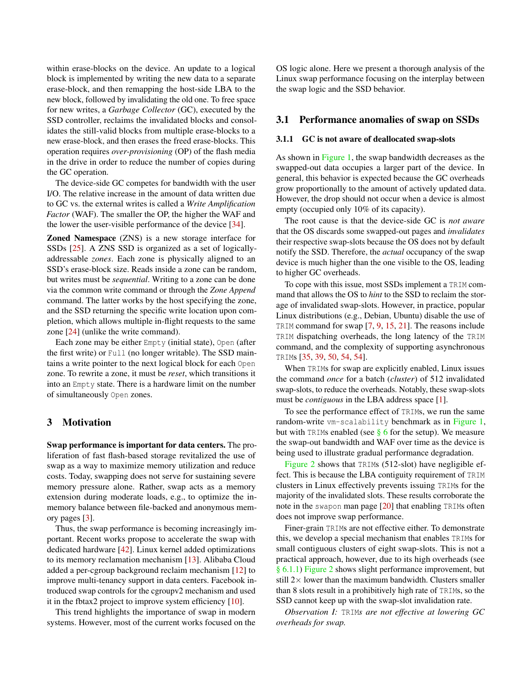within erase-blocks on the device. An update to a logical block is implemented by writing the new data to a separate erase-block, and then remapping the host-side LBA to the new block, followed by invalidating the old one. To free space for new writes, a *Garbage Collector* (GC), executed by the SSD controller, reclaims the invalidated blocks and consolidates the still-valid blocks from multiple erase-blocks to a new erase-block, and then erases the freed erase-blocks. This operation requires *over-provisioning* (OP) of the flash media in the drive in order to reduce the number of copies during the GC operation.

The device-side GC competes for bandwidth with the user I/O. The relative increase in the amount of data written due to GC vs. the external writes is called a *Write Amplification Factor* (WAF). The smaller the OP, the higher the WAF and the lower the user-visible performance of the device [\[34\]](#page-13-7).

Zoned Namespace (ZNS) is a new storage interface for SSDs [\[25\]](#page-12-8). A ZNS SSD is organized as a set of logicallyaddressable *zones*. Each zone is physically aligned to an SSD's erase-block size. Reads inside a zone can be random, but writes must be *sequential*. Writing to a zone can be done via the common write command or through the *Zone Append* command. The latter works by the host specifying the zone, and the SSD returning the specific write location upon completion, which allows multiple in-flight requests to the same zone [\[24\]](#page-12-10) (unlike the write command).

Each zone may be either Empty (initial state), Open (after the first write) or Full (no longer writable). The SSD maintains a write pointer to the next logical block for each Open zone. To rewrite a zone, it must be *reset*, which transitions it into an Empty state. There is a hardware limit on the number of simultaneously Open zones.

### <span id="page-2-0"></span>3 Motivation

Swap performance is important for data centers. The proliferation of fast flash-based storage revitalized the use of swap as a way to maximize memory utilization and reduce costs. Today, swapping does not serve for sustaining severe memory pressure alone. Rather, swap acts as a memory extension during moderate loads, e.g., to optimize the inmemory balance between file-backed and anonymous memory pages [\[3\]](#page-12-1).

Thus, the swap performance is becoming increasingly important. Recent works propose to accelerate the swap with dedicated hardware [\[42\]](#page-13-0). Linux kernel added optimizations to its memory reclamation mechanism [\[13\]](#page-12-11). Alibaba Cloud added a per-cgroup background reclaim mechanism [\[12\]](#page-12-2) to improve multi-tenancy support in data centers. Facebook introduced swap controls for the cgroupv2 mechanism and used it in the fbtax2 project to improve system efficiency [\[10\]](#page-12-12).

This trend highlights the importance of swap in modern systems. However, most of the current works focused on the

OS logic alone. Here we present a thorough analysis of the Linux swap performance focusing on the interplay between the swap logic and the SSD behavior.

### 3.1 Performance anomalies of swap on SSDs

#### <span id="page-2-1"></span>3.1.1 GC is not aware of deallocated swap-slots

As shown in [Figure 1,](#page-0-0) the swap bandwidth decreases as the swapped-out data occupies a larger part of the device. In general, this behavior is expected because the GC overheads grow proportionally to the amount of actively updated data. However, the drop should not occur when a device is almost empty (occupied only 10% of its capacity).

The root cause is that the device-side GC is *not aware* that the OS discards some swapped-out pages and *invalidates* their respective swap-slots because the OS does not by default notify the SSD. Therefore, the *actual* occupancy of the swap device is much higher than the one visible to the OS, leading to higher GC overheads.

To cope with this issue, most SSDs implement a TRIM command that allows the OS to *hint* to the SSD to reclaim the storage of invalidated swap-slots. However, in practice, popular Linux distributions (e.g., Debian, Ubuntu) disable the use of TRIM command for swap [\[7,](#page-12-13) [9,](#page-12-14) [15,](#page-12-15) [21\]](#page-12-16). The reasons include TRIM dispatching overheads, the long latency of the TRIM command, and the complexity of supporting asynchronous TRIMs [\[35,](#page-13-3) [39,](#page-13-4) [50,](#page-13-5) [54,](#page-14-1) [54\]](#page-14-1).

When TRIMs for swap are explicitly enabled, Linux issues the command *once* for a batch (*cluster*) of 512 invalidated swap-slots, to reduce the overheads. Notably, these swap-slots must be *contiguous* in the LBA address space [\[1\]](#page-12-17).

To see the performance effect of TRIMs, we run the same random-write vm-scalability benchmark as in [Figure 1,](#page-0-0) but with TRIMs enabled (see  $\S$  6 for the setup). We measure the swap-out bandwidth and WAF over time as the device is being used to illustrate gradual performance degradation.

[Figure 2](#page-3-1) shows that TRIMs (512-slot) have negligible effect. This is because the LBA contiguity requirement of TRIM clusters in Linux effectively prevents issuing TRIMs for the majority of the invalidated slots. These results corroborate the note in the swapon man page [\[20\]](#page-12-18) that enabling TRIMs often does not improve swap performance.

Finer-grain TRIMs are not effective either. To demonstrate this, we develop a special mechanism that enables TRIMs for small contiguous clusters of eight swap-slots. This is not a practical approach, however, due to its high overheads (see [§ 6.1.1\)](#page-9-0) [Figure 2](#page-3-1) shows slight performance improvement, but still  $2\times$  lower than the maximum bandwidth. Clusters smaller than 8 slots result in a prohibitively high rate of TRIMs, so the SSD cannot keep up with the swap-slot invalidation rate.

*Observation I:* TRIM*s are not effective at lowering GC overheads for swap.*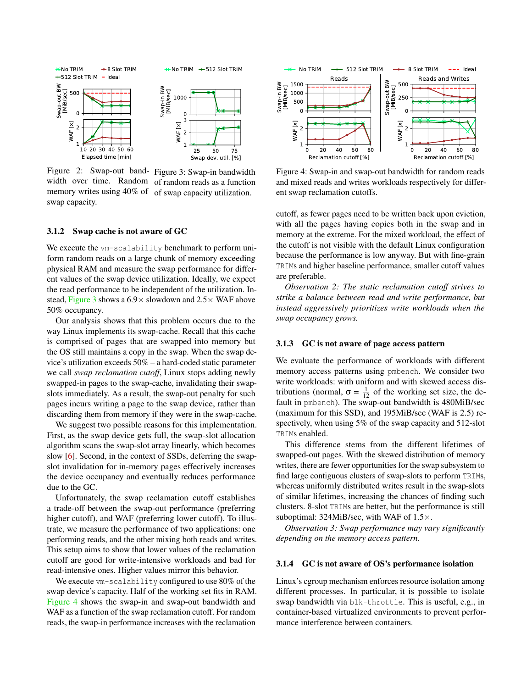<span id="page-3-1"></span>

Figure 2: Swap-out bandwidth over time. Random memory writes using 40% of swap capacity. Figure 3: Swap-in bandwidth of random reads as a function of swap capacity utilization.

#### <span id="page-3-0"></span>3.1.2 Swap cache is not aware of GC

We execute the vm-scalability benchmark to perform uniform random reads on a large chunk of memory exceeding physical RAM and measure the swap performance for different values of the swap device utilization. Ideally, we expect the read performance to be independent of the utilization. In-stead, [Figure 3](#page-3-1) shows a  $6.9 \times$  slowdown and  $2.5 \times$  WAF above 50% occupancy.

Our analysis shows that this problem occurs due to the way Linux implements its swap-cache. Recall that this cache is comprised of pages that are swapped into memory but the OS still maintains a copy in the swap. When the swap device's utilization exceeds 50% – a hard-coded static parameter we call *swap reclamation cutoff*, Linux stops adding newly swapped-in pages to the swap-cache, invalidating their swapslots immediately. As a result, the swap-out penalty for such pages incurs writing a page to the swap device, rather than discarding them from memory if they were in the swap-cache.

We suggest two possible reasons for this implementation. First, as the swap device gets full, the swap-slot allocation algorithm scans the swap-slot array linearly, which becomes slow [\[6\]](#page-12-19). Second, in the context of SSDs, deferring the swapslot invalidation for in-memory pages effectively increases the device occupancy and eventually reduces performance due to the GC.

Unfortunately, the swap reclamation cutoff establishes a trade-off between the swap-out performance (preferring higher cutoff), and WAF (preferring lower cutoff). To illustrate, we measure the performance of two applications: one performing reads, and the other mixing both reads and writes. This setup aims to show that lower values of the reclamation cutoff are good for write-intensive workloads and bad for read-intensive ones. Higher values mirror this behavior.

We execute vm-scalability configured to use 80% of the swap device's capacity. Half of the working set fits in RAM. [Figure 4](#page-3-2) shows the swap-in and swap-out bandwidth and WAF as a function of the swap reclamation cutoff. For random reads, the swap-in performance increases with the reclamation

<span id="page-3-2"></span>

Figure 4: Swap-in and swap-out bandwidth for random reads and mixed reads and writes workloads respectively for different swap reclamation cutoffs.

cutoff, as fewer pages need to be written back upon eviction, with all the pages having copies both in the swap and in memory at the extreme. For the mixed workload, the effect of the cutoff is not visible with the default Linux configuration because the performance is low anyway. But with fine-grain TRIMs and higher baseline performance, smaller cutoff values are preferable.

*Observation 2: The static reclamation cutoff strives to strike a balance between read and write performance, but instead aggressively prioritizes write workloads when the swap occupancy grows.*

#### 3.1.3 GC is not aware of page access pattern

We evaluate the performance of workloads with different memory access patterns using pmbench. We consider two write workloads: with uniform and with skewed access distributions (normal,  $\sigma = \frac{1}{12}$  of the working set size, the default in pmbench). The swap-out bandwidth is 480MiB/sec (maximum for this SSD), and 195MiB/sec (WAF is 2.5) respectively, when using 5% of the swap capacity and 512-slot TRIMs enabled.

This difference stems from the different lifetimes of swapped-out pages. With the skewed distribution of memory writes, there are fewer opportunities for the swap subsystem to find large contiguous clusters of swap-slots to perform TRIMs, whereas uniformly distributed writes result in the swap-slots of similar lifetimes, increasing the chances of finding such clusters. 8-slot TRIMs are better, but the performance is still suboptimal:  $324MiB/sec$ , with WAF of  $1.5\times$ .

*Observation 3: Swap performance may vary significantly depending on the memory access pattern.*

#### <span id="page-3-3"></span>3.1.4 GC is not aware of OS's performance isolation

Linux's cgroup mechanism enforces resource isolation among different processes. In particular, it is possible to isolate swap bandwidth via blk-throttle. This is useful, e.g., in container-based virtualized environments to prevent performance interference between containers.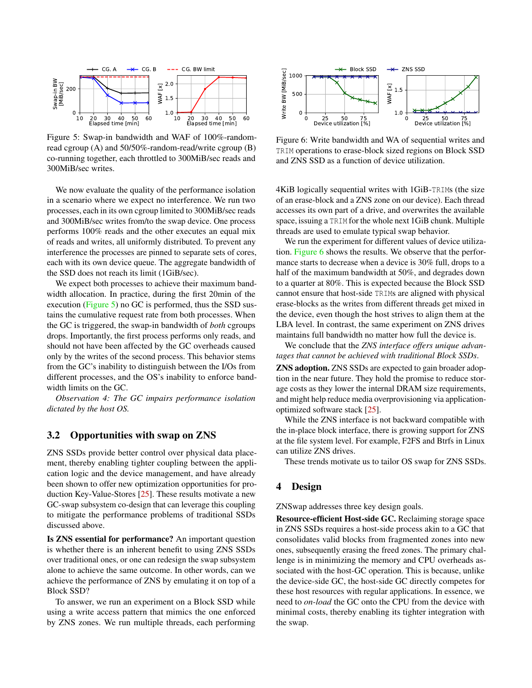<span id="page-4-0"></span>

Figure 5: Swap-in bandwidth and WAF of 100%-randomread cgroup (A) and 50/50%-random-read/write cgroup (B) co-running together, each throttled to 300MiB/sec reads and 300MiB/sec writes.

We now evaluate the quality of the performance isolation in a scenario where we expect no interference. We run two processes, each in its own cgroup limited to 300MiB/sec reads and 300MiB/sec writes from/to the swap device. One process performs 100% reads and the other executes an equal mix of reads and writes, all uniformly distributed. To prevent any interference the processes are pinned to separate sets of cores, each with its own device queue. The aggregate bandwidth of the SSD does not reach its limit (1GiB/sec).

We expect both processes to achieve their maximum bandwidth allocation. In practice, during the first 20min of the execution [\(Figure 5\)](#page-4-0) no GC is performed, thus the SSD sustains the cumulative request rate from both processes. When the GC is triggered, the swap-in bandwidth of *both* cgroups drops. Importantly, the first process performs only reads, and should not have been affected by the GC overheads caused only by the writes of the second process. This behavior stems from the GC's inability to distinguish between the I/Os from different processes, and the OS's inability to enforce bandwidth limits on the GC.

*Observation 4: The GC impairs performance isolation dictated by the host OS.*

### 3.2 Opportunities with swap on ZNS

ZNS SSDs provide better control over physical data placement, thereby enabling tighter coupling between the application logic and the device management, and have already been shown to offer new optimization opportunities for production Key-Value-Stores [\[25\]](#page-12-8). These results motivate a new GC-swap subsystem co-design that can leverage this coupling to mitigate the performance problems of traditional SSDs discussed above.

Is ZNS essential for performance? An important question is whether there is an inherent benefit to using ZNS SSDs over traditional ones, or one can redesign the swap subsystem alone to achieve the same outcome. In other words, can we achieve the performance of ZNS by emulating it on top of a Block SSD?

To answer, we run an experiment on a Block SSD while using a write access pattern that mimics the one enforced by ZNS zones. We run multiple threads, each performing

<span id="page-4-1"></span>

Figure 6: Write bandwidth and WA of sequential writes and TRIM operations to erase-block sized regions on Block SSD and ZNS SSD as a function of device utilization.

4KiB logically sequential writes with 1GiB-TRIMs (the size of an erase-block and a ZNS zone on our device). Each thread accesses its own part of a drive, and overwrites the available space, issuing a TRIM for the whole next 1GiB chunk. Multiple threads are used to emulate typical swap behavior.

We run the experiment for different values of device utilization. [Figure 6](#page-4-1) shows the results. We observe that the performance starts to decrease when a device is 30% full, drops to a half of the maximum bandwidth at 50%, and degrades down to a quarter at 80%. This is expected because the Block SSD cannot ensure that host-side TRIMs are aligned with physical erase-blocks as the writes from different threads get mixed in the device, even though the host strives to align them at the LBA level. In contrast, the same experiment on ZNS drives maintains full bandwidth no matter how full the device is.

We conclude that the *ZNS interface offers unique advantages that cannot be achieved with traditional Block SSDs*.

ZNS adoption. ZNS SSDs are expected to gain broader adoption in the near future. They hold the promise to reduce storage costs as they lower the internal DRAM size requirements, and might help reduce media overprovisioning via applicationoptimized software stack [\[25\]](#page-12-8).

While the ZNS interface is not backward compatible with the in-place block interface, there is growing support for ZNS at the file system level. For example, F2FS and Btrfs in Linux can utilize ZNS drives.

These trends motivate us to tailor OS swap for ZNS SSDs.

# 4 Design

ZNSwap addresses three key design goals.

Resource-efficient Host-side GC. Reclaiming storage space in ZNS SSDs requires a host-side process akin to a GC that consolidates valid blocks from fragmented zones into new ones, subsequently erasing the freed zones. The primary challenge is in minimizing the memory and CPU overheads associated with the host-GC operation. This is because, unlike the device-side GC, the host-side GC directly competes for these host resources with regular applications. In essence, we need to *on-load* the GC onto the CPU from the device with minimal costs, thereby enabling its tighter integration with the swap.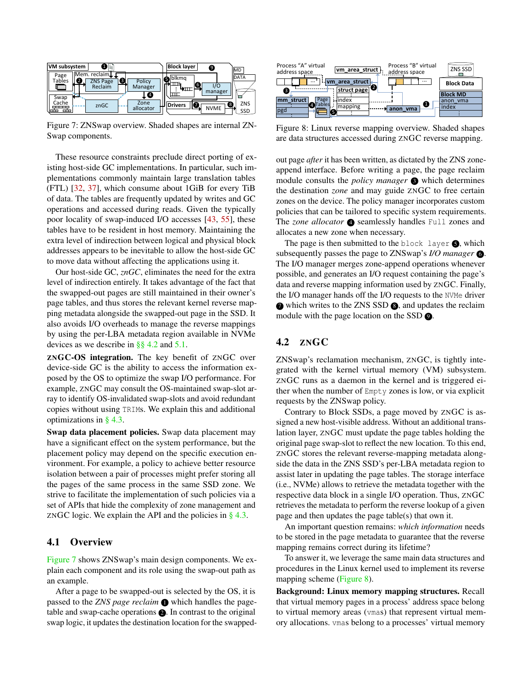<span id="page-5-1"></span>

Figure 7: ZNSwap overview. Shaded shapes are internal ZN-Swap components.

These resource constraints preclude direct porting of existing host-side GC implementations. In particular, such implementations commonly maintain large translation tables (FTL) [\[32,](#page-13-9) [37\]](#page-13-10), which consume about 1GiB for every TiB of data. The tables are frequently updated by writes and GC operations and accessed during reads. Given the typically poor locality of swap-induced I/O accesses [\[43,](#page-13-1) [55\]](#page-14-3), these tables have to be resident in host memory. Maintaining the extra level of indirection between logical and physical block addresses appears to be inevitable to allow the host-side GC to move data without affecting the applications using it.

Our host-side GC, *znGC*, eliminates the need for the extra level of indirection entirely. It takes advantage of the fact that the swapped-out pages are still maintained in their owner's page tables, and thus stores the relevant kernel reverse mapping metadata alongside the swapped-out page in the SSD. It also avoids I/O overheads to manage the reverse mappings by using the per-LBA metadata region available in NVMe devices as we describe in [§§ 4.2](#page-5-0) and [5.1.](#page-7-0)

ZNGC-OS integration. The key benefit of ZNGC over device-side GC is the ability to access the information exposed by the OS to optimize the swap I/O performance. For example, ZNGC may consult the OS-maintained swap-slot array to identify OS-invalidated swap-slots and avoid redundant copies without using TRIMs. We explain this and additional optimizations in [§ 4.3.](#page-6-0)

Swap data placement policies. Swap data placement may have a significant effect on the system performance, but the placement policy may depend on the specific execution environment. For example, a policy to achieve better resource isolation between a pair of processes might prefer storing all the pages of the same process in the same SSD zone. We strive to facilitate the implementation of such policies via a set of APIs that hide the complexity of zone management and ZNGC logic. We explain the API and the policies in  $\S$  4.3.

### 4.1 Overview

[Figure 7](#page-5-1) shows ZNSwap's main design components. We explain each component and its role using the swap-out path as an example.

After a page to be swapped-out is selected by the OS, it is passed to the *ZNS page reclaim*  $\bullet$  which handles the pagetable and swap-cache operations  $\bullet$ . In contrast to the original swap logic, it updates the destination location for the swapped-

<span id="page-5-2"></span>

Figure 8: Linux reverse mapping overview. Shaded shapes are data structures accessed during ZNGC reverse mapping.

out page *after* it has been written, as dictated by the ZNS zoneappend interface. Before writing a page, the page reclaim module consults the *policy manager*  $\bullet$  which determines the destination *zone* and may guide ZNGC to free certain zones on the device. The policy manager incorporates custom policies that can be tailored to specific system requirements. The *zone allocator* **4** seamlessly handles Full zones and allocates a new zone when necessary.

The page is then submitted to the block layer  $\bigcirc$ , which subsequently passes the page to ZNSwap's *I/O manager* **6**. The I/O manager merges zone-append operations whenever possible, and generates an I/O request containing the page's data and reverse mapping information used by ZNGC. Finally, the I/O manager hands off the I/O requests to the NVMe driver  $\bullet$  which writes to the ZNS SSD  $\bullet$ , and updates the reclaim module with the page location on the SSD  $\odot$ .

# <span id="page-5-0"></span>4.2 ZNGC

ZNSwap's reclamation mechanism, ZNGC, is tightly integrated with the kernel virtual memory (VM) subsystem. ZNGC runs as a daemon in the kernel and is triggered either when the number of Empty zones is low, or via explicit requests by the ZNSwap policy.

Contrary to Block SSDs, a page moved by ZNGC is assigned a new host-visible address. Without an additional translation layer, ZNGC must update the page tables holding the original page swap-slot to reflect the new location. To this end, ZNGC stores the relevant reverse-mapping metadata alongside the data in the ZNS SSD's per-LBA metadata region to assist later in updating the page tables. The storage interface (i.e., NVMe) allows to retrieve the metadata together with the respective data block in a single I/O operation. Thus, ZNGC retrieves the metadata to perform the reverse lookup of a given page and then updates the page table(s) that own it.

An important question remains: *which information* needs to be stored in the page metadata to guarantee that the reverse mapping remains correct during its lifetime?

To answer it, we leverage the same main data structures and procedures in the Linux kernel used to implement its reverse mapping scheme [\(Figure 8\)](#page-5-2).

Background: Linux memory mapping structures. Recall that virtual memory pages in a process' address space belong to virtual memory areas (vmas) that represent virtual memory allocations. vmas belong to a processes' virtual memory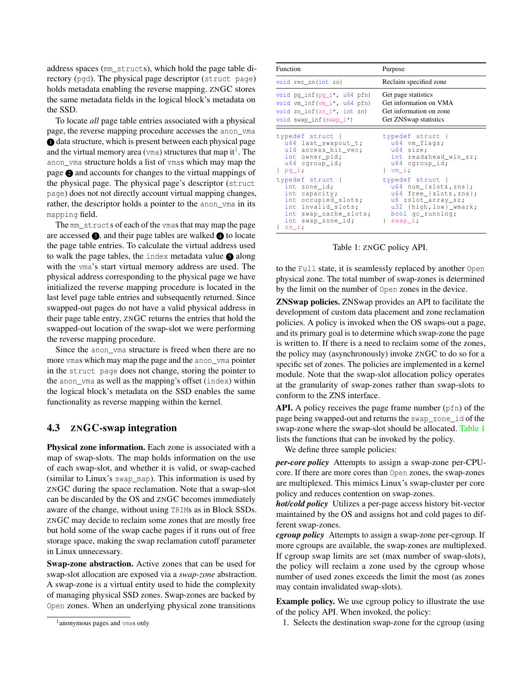address spaces (mm\_structs), which hold the page table directory (pgd). The physical page descriptor (struct page) holds metadata enabling the reverse mapping. ZNGC stores the same metadata fields in the logical block's metadata on the SSD.

To locate *all* page table entries associated with a physical page, the reverse mapping procedure accesses the anon\_vma  $\bullet$  data structure, which is present between each physical page and the virtual memory area ( $vma$ ) structures that map it<sup>[1](#page-0-1)</sup>. The anon\_vma structure holds a list of vmas which may map the page <sup>2</sup> and accounts for changes to the virtual mappings of the physical page. The physical page's descriptor (struct page) does not not directly account virtual mapping changes, rather, the descriptor holds a pointer to the anon vma in its mapping field.

The mm\_structs of each of the vmas that may map the page are accessed  $\bigcirc$ , and their page tables are walked  $\bigcirc$  to locate the page table entries. To calculate the virtual address used to walk the page tables, the index metadata value  $\bigcirc$  along with the vma's start virtual memory address are used. The physical address corresponding to the physical page we have initialized the reverse mapping procedure is located in the last level page table entries and subsequently returned. Since swapped-out pages do not have a valid physical address in their page table entry, ZNGC returns the entries that hold the swapped-out location of the swap-slot we were performing the reverse mapping procedure.

Since the anon vma structure is freed when there are no more ymas which may map the page and the anon yma pointer in the struct page does not change, storing the pointer to the anon\_vma as well as the mapping's offset (index) within the logical block's metadata on the SSD enables the same functionality as reverse mapping within the kernel.

### <span id="page-6-0"></span>4.3 ZNGC-swap integration

Physical zone information. Each zone is associated with a map of swap-slots. The map holds information on the use of each swap-slot, and whether it is valid, or swap-cached (similar to Linux's swap\_map). This information is used by ZNGC during the space reclamation. Note that a swap-slot can be discarded by the OS and ZNGC becomes immediately aware of the change, without using TRIMs as in Block SSDs. ZNGC may decide to reclaim some zones that are mostly free but hold some of the swap cache pages if it runs out of free storage space, making the swap reclamation cutoff parameter in Linux unnecessary.

Swap-zone abstraction. Active zones that can be used for swap-slot allocation are exposed via a *swap-zone* abstraction. A swap-zone is a virtual entity used to hide the complexity of managing physical SSD zones. Swap-zones are backed by Open zones. When an underlying physical zone transitions

<span id="page-6-1"></span>

| Function                                                                                                                                                                                                                                                                                       | Purpose                                                                                                                                                                                                                                            |
|------------------------------------------------------------------------------------------------------------------------------------------------------------------------------------------------------------------------------------------------------------------------------------------------|----------------------------------------------------------------------------------------------------------------------------------------------------------------------------------------------------------------------------------------------------|
| void rec_zn(int zn)                                                                                                                                                                                                                                                                            | Reclaim specified zone                                                                                                                                                                                                                             |
| void $pq_info(pq_i^*, u64 pfn)$<br>void vm_inf(vm_i*, u64 pfn)<br>void zn_inf(zn_i*, int zn)<br>void swap_inf(swap_i*)                                                                                                                                                                         | Get page statistics<br>Get information on VMA<br>Get information on zone<br>Get ZNSwap statistics                                                                                                                                                  |
| typedef struct {<br>u64 last_swapout_t;<br>u16 access_bit_vec;<br>int owner_pid;<br>u64 cqroup_id;<br>$\}$ pq_i;<br>typedef struct {<br>int zone_id;<br>int capacity;<br>int occupied_slots;<br>int invalid_slots;<br>int swap_cache_slots; bool gc_running;<br>int swap_zone_id;<br>$z_{n_i}$ | typedef struct {<br>$u64$ vm_flaqs;<br>u64 size;<br>int readahead_win_sz;<br>u64 cqroup_id;<br>$\}$ vm_i;<br>typedef struct {<br>$u64$ num [slots, zns};<br>u64 free_{slots, zns};<br>u8 zslot_array_sz;<br>u32 {high, low}_wmark;<br>$\}$ swap_i; |

Table 1: ZNGC policy API.

to the Full state, it is seamlessly replaced by another Open physical zone. The total number of swap-zones is determined by the limit on the number of Open zones in the device.

ZNSwap policies. ZNSwap provides an API to facilitate the development of custom data placement and zone reclamation policies. A policy is invoked when the OS swaps-out a page, and its primary goal is to determine which swap-zone the page is written to. If there is a need to reclaim some of the zones, the policy may (asynchronously) invoke ZNGC to do so for a specific set of zones. The policies are implemented in a kernel module. Note that the swap-slot allocation policy operates at the granularity of swap-zones rather than swap-slots to conform to the ZNS interface.

API. A policy receives the page frame number  $(pfn)$  of the page being swapped-out and returns the swap\_zone\_id of the swap-zone where the swap-slot should be allocated. [Table 1](#page-6-1) lists the functions that can be invoked by the policy.

We define three sample policies:

*per-core policy* Attempts to assign a swap-zone per-CPUcore. If there are more cores than Open zones, the swap-zones are multiplexed. This mimics Linux's swap-cluster per core policy and reduces contention on swap-zones.

*hot/cold policy* Utilizes a per-page access history bit-vector maintained by the OS and assigns hot and cold pages to different swap-zones.

*cgroup policy* Attempts to assign a swap-zone per-cgroup. If more cgroups are available, the swap-zones are multiplexed. If cgroup swap limits are set (max number of swap-slots), the policy will reclaim a zone used by the cgroup whose number of used zones exceeds the limit the most (as zones may contain invalidated swap-slots).

Example policy. We use cgroup policy to illustrate the use of the policy API. When invoked, the policy:

1. Selects the destination swap-zone for the cgroup (using

<sup>1</sup> anonymous pages and vmas only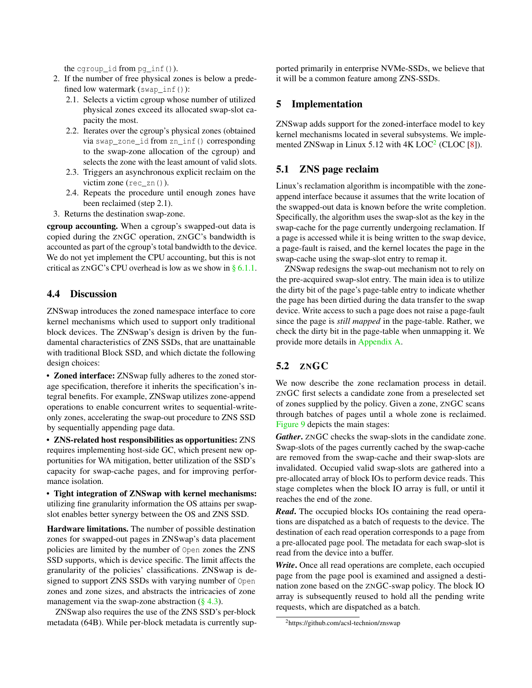the cgroup id from pg inf()).

- 2. If the number of free physical zones is below a predefined low watermark (swap  $inf()$ ):
	- 2.1. Selects a victim cgroup whose number of utilized physical zones exceed its allocated swap-slot capacity the most.
	- 2.2. Iterates over the cgroup's physical zones (obtained via swap\_zone\_id from zn\_inf() corresponding to the swap-zone allocation of the cgroup) and selects the zone with the least amount of valid slots.
	- 2.3. Triggers an asynchronous explicit reclaim on the victim zone (rec\_zn()).
	- 2.4. Repeats the procedure until enough zones have been reclaimed (step 2.1).
- 3. Returns the destination swap-zone.

cgroup accounting. When a cgroup's swapped-out data is copied during the ZNGC operation, ZNGC's bandwidth is accounted as part of the cgroup's total bandwidth to the device. We do not yet implement the CPU accounting, but this is not critical as  $ZNGC's CPU$  overhead is low as we show in [§ 6.1.1.](#page-9-0)

### 4.4 Discussion

ZNSwap introduces the zoned namespace interface to core kernel mechanisms which used to support only traditional block devices. The ZNSwap's design is driven by the fundamental characteristics of ZNS SSDs, that are unattainable with traditional Block SSD, and which dictate the following design choices:

• Zoned interface: ZNSwap fully adheres to the zoned storage specification, therefore it inherits the specification's integral benefits. For example, ZNSwap utilizes zone-append operations to enable concurrent writes to sequential-writeonly zones, accelerating the swap-out procedure to ZNS SSD by sequentially appending page data.

• ZNS-related host responsibilities as opportunities: ZNS requires implementing host-side GC, which present new opportunities for WA mitigation, better utilization of the SSD's capacity for swap-cache pages, and for improving performance isolation.

• Tight integration of ZNSwap with kernel mechanisms: utilizing fine granularity information the OS attains per swapslot enables better synergy between the OS and ZNS SSD.

Hardware limitations. The number of possible destination zones for swapped-out pages in ZNSwap's data placement policies are limited by the number of Open zones the ZNS SSD supports, which is device specific. The limit affects the granularity of the policies' classifications. ZNSwap is designed to support ZNS SSDs with varying number of Open zones and zone sizes, and abstracts the intricacies of zone management via the swap-zone abstraction  $(\S 4.3)$ .

ZNSwap also requires the use of the ZNS SSD's per-block metadata (64B). While per-block metadata is currently supported primarily in enterprise NVMe-SSDs, we believe that it will be a common feature among ZNS-SSDs.

### 5 Implementation

ZNSwap adds support for the zoned-interface model to key kernel mechanisms located in several subsystems. We imple-mented ZNSwap in Linux 5.1[2](#page-0-1) with  $4K$  LOC $2$  (CLOC [\[8\]](#page-12-20)).

# <span id="page-7-0"></span>5.1 ZNS page reclaim

Linux's reclamation algorithm is incompatible with the zoneappend interface because it assumes that the write location of the swapped-out data is known before the write completion. Specifically, the algorithm uses the swap-slot as the key in the swap-cache for the page currently undergoing reclamation. If a page is accessed while it is being written to the swap device, a page-fault is raised, and the kernel locates the page in the swap-cache using the swap-slot entry to remap it.

ZNSwap redesigns the swap-out mechanism not to rely on the pre-acquired swap-slot entry. The main idea is to utilize the dirty bit of the page's page-table entry to indicate whether the page has been dirtied during the data transfer to the swap device. Write access to such a page does not raise a page-fault since the page is *still mapped* in the page-table. Rather, we check the dirty bit in the page-table when unmapping it. We provide more details in [Appendix A.](#page-15-0)

# 5.2 ZNGC

We now describe the zone reclamation process in detail. ZNGC first selects a candidate zone from a preselected set of zones supplied by the policy. Given a zone, ZNGC scans through batches of pages until a whole zone is reclaimed. [Figure 9](#page-8-1) depicts the main stages:

*Gather*. ZNGC checks the swap-slots in the candidate zone. Swap-slots of the pages currently cached by the swap-cache are removed from the swap-cache and their swap-slots are invalidated. Occupied valid swap-slots are gathered into a pre-allocated array of block IOs to perform device reads. This stage completes when the block IO array is full, or until it reaches the end of the zone.

*Read*. The occupied blocks IOs containing the read operations are dispatched as a batch of requests to the device. The destination of each read operation corresponds to a page from a pre-allocated page pool. The metadata for each swap-slot is read from the device into a buffer.

*Write*. Once all read operations are complete, each occupied page from the page pool is examined and assigned a destination zone based on the ZNGC-swap policy. The block IO array is subsequently reused to hold all the pending write requests, which are dispatched as a batch.

<sup>2</sup>https://github.com/acsl-technion/znswap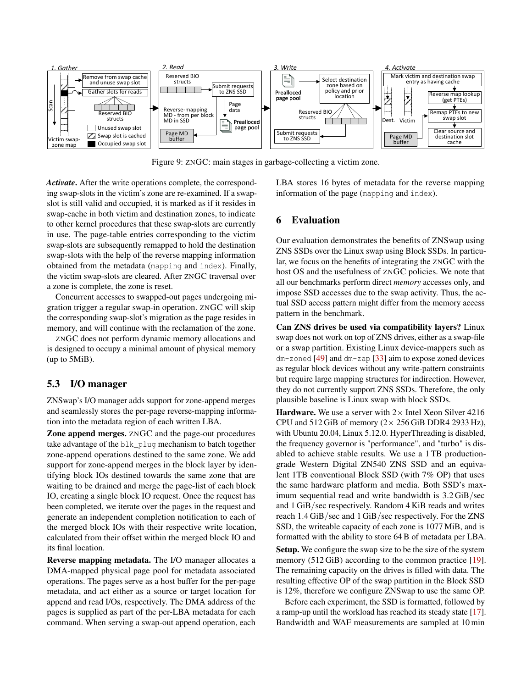<span id="page-8-1"></span>

Figure 9: ZNGC: main stages in garbage-collecting a victim zone.

*Activate*. After the write operations complete, the corresponding swap-slots in the victim's zone are re-examined. If a swapslot is still valid and occupied, it is marked as if it resides in swap-cache in both victim and destination zones, to indicate to other kernel procedures that these swap-slots are currently in use. The page-table entries corresponding to the victim swap-slots are subsequently remapped to hold the destination swap-slots with the help of the reverse mapping information obtained from the metadata (mapping and index). Finally, the victim swap-slots are cleared. After ZNGC traversal over a zone is complete, the zone is reset.

Concurrent accesses to swapped-out pages undergoing migration trigger a regular swap-in operation. ZNGC will skip the corresponding swap-slot's migration as the page resides in memory, and will continue with the reclamation of the zone.

ZNGC does not perform dynamic memory allocations and is designed to occupy a minimal amount of physical memory (up to 5MiB).

### 5.3 I/O manager

ZNSwap's I/O manager adds support for zone-append merges and seamlessly stores the per-page reverse-mapping information into the metadata region of each written LBA.

Zone append merges. ZNGC and the page-out procedures take advantage of the blk\_plug mechanism to batch together zone-append operations destined to the same zone. We add support for zone-append merges in the block layer by identifying block IOs destined towards the same zone that are waiting to be drained and merge the page-list of each block IO, creating a single block IO request. Once the request has been completed, we iterate over the pages in the request and generate an independent completion notification to each of the merged block IOs with their respective write location, calculated from their offset within the merged block IO and its final location.

Reverse mapping metadata. The I/O manager allocates a DMA-mapped physical page pool for metadata associated operations. The pages serve as a host buffer for the per-page metadata, and act either as a source or target location for append and read I/Os, respectively. The DMA address of the pages is supplied as part of the per-LBA metadata for each command. When serving a swap-out append operation, each

LBA stores 16 bytes of metadata for the reverse mapping information of the page (mapping and index).

# <span id="page-8-0"></span>6 Evaluation

Our evaluation demonstrates the benefits of ZNSwap using ZNS SSDs over the Linux swap using Block SSDs. In particular, we focus on the benefits of integrating the ZNGC with the host OS and the usefulness of ZNGC policies. We note that all our benchmarks perform direct *memory* accesses only, and impose SSD accesses due to the swap activity. Thus, the actual SSD access pattern might differ from the memory access pattern in the benchmark.

Can ZNS drives be used via compatibility layers? Linux swap does not work on top of ZNS drives, either as a swap-file or a swap partition. Existing Linux device-mappers such as dm-zoned [\[49\]](#page-13-11) and dm-zap [\[33\]](#page-13-12) aim to expose zoned devices as regular block devices without any write-pattern constraints but require large mapping structures for indirection. However, they do not currently support ZNS SSDs. Therefore, the only plausible baseline is Linux swap with block SSDs.

**Hardware.** We use a server with  $2 \times$  Intel Xeon Silver 4216 CPU and  $512$  GiB of memory ( $2 \times 256$  GiB DDR4 2933 Hz), with Ubuntu 20.04, Linux 5.12.0. HyperThreading is disabled, the frequency governor is "performance", and "turbo" is disabled to achieve stable results. We use a 1 TB productiongrade Western Digital ZN540 ZNS SSD and an equivalent 1TB conventional Block SSD (with 7% OP) that uses the same hardware platform and media. Both SSD's maximum sequential read and write bandwidth is 3.2 GiB/sec and 1 GiB/sec respectively. Random 4 KiB reads and writes reach 1.4 GiB/sec and 1 GiB/sec respectively. For the ZNS SSD, the writeable capacity of each zone is 1077 MiB, and is formatted with the ability to store 64 B of metadata per LBA.

Setup. We configure the swap size to be the size of the system memory (512 GiB) according to the common practice [\[19\]](#page-12-21). The remaining capacity on the drives is filled with data. The resulting effective OP of the swap partition in the Block SSD is 12%, therefore we configure ZNSwap to use the same OP.

Before each experiment, the SSD is formatted, followed by a ramp-up until the workload has reached its steady state [\[17\]](#page-12-22). Bandwidth and WAF measurements are sampled at 10 min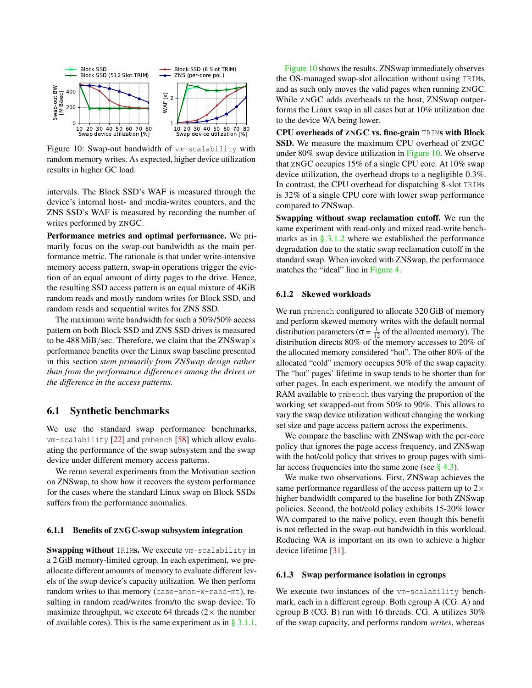<span id="page-9-1"></span>

Figure 10: Swap-out bandwidth of vm-scalability with random memory writes. As expected, higher device utilization results in higher GC load.

intervals. The Block SSD's WAF is measured through the device's internal host- and media-writes counters, and the ZNS SSD's WAF is measured by recording the number of writes performed by ZNGC.

Performance metrics and optimal performance. We primarily focus on the swap-out bandwidth as the main performance metric. The rationale is that under write-intensive memory access pattern, swap-in operations trigger the eviction of an equal amount of dirty pages to the drive. Hence, the resulting SSD access pattern is an equal mixture of 4KiB random reads and mostly random writes for Block SSD, and random reads and sequential writes for ZNS SSD.

The maximum write bandwidth for such a 50%/50% access pattern on both Block SSD and ZNS SSD drives is measured to be 488 MiB/sec. Therefore, we claim that the ZNSwap's performance benefits over the Linux swap baseline presented in this section *stem primarily from ZNSwap design rather than from the performance differences among the drives or the difference in the access patterns.*

# 6.1 Synthetic benchmarks

We use the standard swap performance benchmarks, vm-scalability [\[22\]](#page-12-23) and pmbench [\[58\]](#page-14-6) which allow evaluating the performance of the swap subsystem and the swap device under different memory access patterns.

We rerun several experiments from the Motivation section on ZNSwap, to show how it recovers the system performance for the cases where the standard Linux swap on Block SSDs suffers from the performance anomalies.

#### <span id="page-9-0"></span>6.1.1 Benefits of ZNGC-swap subsystem integration

Swapping without TRIMs. We execute vm-scalability in a 2 GiB memory-limited cgroup. In each experiment, we preallocate different amounts of memory to evaluate different levels of the swap device's capacity utilization. We then perform random writes to that memory (case-anon-w-rand-mt), resulting in random read/writes from/to the swap device. To maximize throughput, we execute 64 threads  $(2 \times$  the number of available cores). This is the same experiment as in  $\S 3.1.1$ .

[Figure 10](#page-9-1) shows the results. ZNSwap immediately observes the OS-managed swap-slot allocation without using TRIMs, and as such only moves the valid pages when running ZNGC. While ZNGC adds overheads to the host, ZNSwap outperforms the Linux swap in all cases but at 10% utilization due to the device WA being lower.

CPU overheads of ZNGC vs. fine-grain TRIMs with Block SSD. We measure the maximum CPU overhead of ZNGC under 80% swap device utilization in [Figure 10.](#page-9-1) We observe that ZNGC occupies 15% of a single CPU core. At 10% swap device utilization, the overhead drops to a negligible 0.3%. In contrast, the CPU overhead for dispatching 8-slot TRIMs is 32% of a single CPU core with lower swap performance compared to ZNSwap.

Swapping without swap reclamation cutoff. We run the same experiment with read-only and mixed read-write benchmarks as in  $\S$  3.1.2 where we established the performance degradation due to the static swap reclamation cutoff in the standard swap. When invoked with ZNSwap, the performance matches the "ideal" line in [Figure 4.](#page-3-2)

#### <span id="page-9-2"></span>6.1.2 Skewed workloads

We run pmbench configured to allocate 320 GiB of memory and perform skewed memory writes with the default normal distribution parameters ( $\sigma = \frac{1}{12}$  of the allocated memory). The distribution directs 80% of the memory accesses to 20% of the allocated memory considered "hot". The other 80% of the allocated "cold" memory occupies 50% of the swap capacity. The "hot" pages' lifetime in swap tends to be shorter than for other pages. In each experiment, we modify the amount of RAM available to pmbench thus varying the proportion of the working set swapped-out from 50% to 90%. This allows to vary the swap device utilization without changing the working set size and page access pattern across the experiments.

We compare the baseline with ZNSwap with the per-core policy that ignores the page access frequency, and ZNSwap with the hot/cold policy that strives to group pages with similar access frequencies into the same zone (see  $\S$  4.3).

We make two observations. First, ZNSwap achieves the same performance regardless of the access pattern up to  $2\times$ higher bandwidth compared to the baseline for both ZNSwap policies. Second, the hot/cold policy exhibits 15-20% lower WA compared to the naive policy, even though this benefit is not reflected in the swap-out bandwidth in this workload. Reducing WA is important on its own to achieve a higher device lifetime [\[31\]](#page-13-13).

#### 6.1.3 Swap performance isolation in cgroups

We execute two instances of the vm-scalability benchmark, each in a different cgroup. Both cgroup A (CG. A) and cgroup B (CG. B) run with 16 threads. CG. A utilizes 30% of the swap capacity, and performs random *writes*, whereas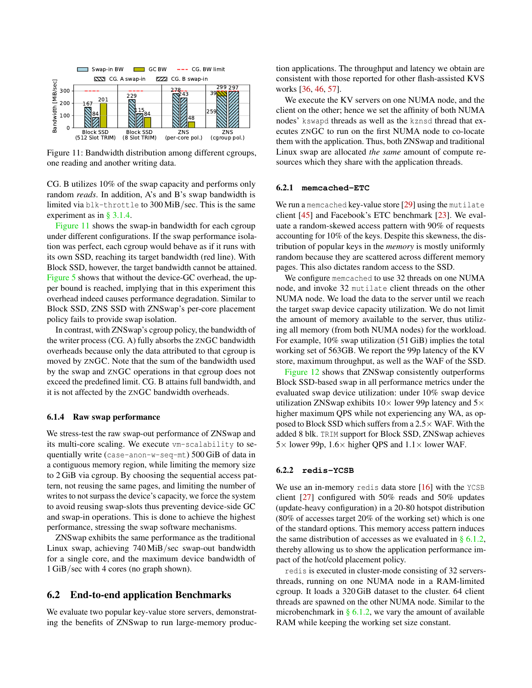<span id="page-10-0"></span>

Figure 11: Bandwidth distribution among different cgroups, one reading and another writing data.

CG. B utilizes 10% of the swap capacity and performs only random *reads*. In addition, A's and B's swap bandwidth is limited via blk-throttle to 300 MiB/sec. This is the same experiment as in [§ 3.1.4.](#page-3-3)

[Figure 11](#page-10-0) shows the swap-in bandwidth for each cgroup under different configurations. If the swap performance isolation was perfect, each cgroup would behave as if it runs with its own SSD, reaching its target bandwidth (red line). With Block SSD, however, the target bandwidth cannot be attained. [Figure 5](#page-4-0) shows that without the device-GC overhead, the upper bound is reached, implying that in this experiment this overhead indeed causes performance degradation. Similar to Block SSD, ZNS SSD with ZNSwap's per-core placement policy fails to provide swap isolation.

In contrast, with ZNSwap's cgroup policy, the bandwidth of the writer process (CG. A) fully absorbs the ZNGC bandwidth overheads because only the data attributed to that cgroup is moved by ZNGC. Note that the sum of the bandwidth used by the swap and ZNGC operations in that cgroup does not exceed the predefined limit. CG. B attains full bandwidth, and it is not affected by the ZNGC bandwidth overheads.

#### 6.1.4 Raw swap performance

We stress-test the raw swap-out performance of ZNSwap and its multi-core scaling. We execute vm-scalability to sequentially write (case-anon-w-seq-mt) 500 GiB of data in a contiguous memory region, while limiting the memory size to 2 GiB via cgroup. By choosing the sequential access pattern, not reusing the same pages, and limiting the number of writes to not surpass the device's capacity, we force the system to avoid reusing swap-slots thus preventing device-side GC and swap-in operations. This is done to achieve the highest performance, stressing the swap software mechanisms.

ZNSwap exhibits the same performance as the traditional Linux swap, achieving 740 MiB/sec swap-out bandwidth for a single core, and the maximum device bandwidth of 1 GiB/sec with 4 cores (no graph shown).

### 6.2 End-to-end application Benchmarks

We evaluate two popular key-value store servers, demonstrating the benefits of ZNSwap to run large-memory produc-

tion applications. The throughput and latency we obtain are consistent with those reported for other flash-assisted KVS works [\[36,](#page-13-14) [46,](#page-13-15) [57\]](#page-14-7).

We execute the KV servers on one NUMA node, and the client on the other; hence we set the affinity of both NUMA nodes' kswapd threads as well as the kznsd thread that executes ZNGC to run on the first NUMA node to co-locate them with the application. Thus, both ZNSwap and traditional Linux swap are allocated *the same* amount of compute resources which they share with the application threads.

#### 6.2.1 **memcached-ETC**

We run a memcached key-value store [\[29\]](#page-13-16) using the mutilate client [\[45\]](#page-13-17) and Facebook's ETC benchmark [\[23\]](#page-12-24). We evaluate a random-skewed access pattern with 90% of requests accounting for 10% of the keys. Despite this skewness, the distribution of popular keys in the *memory* is mostly uniformly random because they are scattered across different memory pages. This also dictates random access to the SSD.

We configure memcached to use 32 threads on one NUMA node, and invoke 32 mutilate client threads on the other NUMA node. We load the data to the server until we reach the target swap device capacity utilization. We do not limit the amount of memory available to the server, thus utilizing all memory (from both NUMA nodes) for the workload. For example, 10% swap utilization (51 GiB) implies the total working set of 563GB. We report the 99p latency of the KV store, maximum throughput, as well as the WAF of the SSD.

[Figure 12](#page-11-0) shows that ZNSwap consistently outperforms Block SSD-based swap in all performance metrics under the evaluated swap device utilization: under 10% swap device utilization ZNSwap exhibits  $10\times$  lower 99p latency and  $5\times$ higher maximum QPS while not experiencing any WA, as opposed to Block SSD which suffers from a  $2.5\times$  WAF. With the added 8 blk. TRIM support for Block SSD, ZNSwap achieves  $5 \times$  lower 99p,  $1.6 \times$  higher QPS and  $1.1 \times$  lower WAF.

#### 6.2.2 **redis-YCSB**

We use an in-memory redis data store  $[16]$  with the YCSB client [\[27\]](#page-12-26) configured with 50% reads and 50% updates (update-heavy configuration) in a 20-80 hotspot distribution (80% of accesses target 20% of the working set) which is one of the standard options. This memory access pattern induces the same distribution of accesses as we evaluated in  $\S 6.1.2$ , thereby allowing us to show the application performance impact of the hot/cold placement policy.

redis is executed in cluster-mode consisting of 32 serversthreads, running on one NUMA node in a RAM-limited cgroup. It loads a 320 GiB dataset to the cluster. 64 client threads are spawned on the other NUMA node. Similar to the microbenchmark in  $\S$  6.1.2, we vary the amount of available RAM while keeping the working set size constant.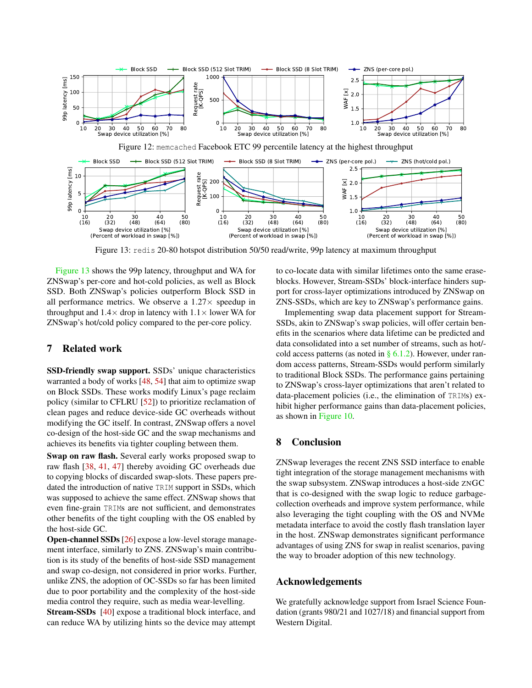<span id="page-11-1"></span><span id="page-11-0"></span>

Figure 13: redis 20-80 hotspot distribution 50/50 read/write, 99p latency at maximum throughput

[Figure 13](#page-11-1) shows the 99p latency, throughput and WA for ZNSwap's per-core and hot-cold policies, as well as Block SSD. Both ZNSwap's policies outperform Block SSD in all performance metrics. We observe a  $1.27 \times$  speedup in throughput and  $1.4 \times$  drop in latency with  $1.1 \times$  lower WA for ZNSwap's hot/cold policy compared to the per-core policy.

# 7 Related work

SSD-friendly swap support. SSDs' unique characteristics warranted a body of works [\[48,](#page-13-18) [54\]](#page-14-1) that aim to optimize swap on Block SSDs. These works modify Linux's page reclaim policy (similar to CFLRU [\[52\]](#page-14-8)) to prioritize reclamation of clean pages and reduce device-side GC overheads without modifying the GC itself. In contrast, ZNSwap offers a novel co-design of the host-side GC and the swap mechanisms and achieves its benefits via tighter coupling between them.

Swap on raw flash. Several early works proposed swap to raw flash [\[38,](#page-13-19) [41,](#page-13-20) [47\]](#page-13-21) thereby avoiding GC overheads due to copying blocks of discarded swap-slots. These papers predated the introduction of native TRIM support in SSDs, which was supposed to achieve the same effect. ZNSwap shows that even fine-grain TRIMs are not sufficient, and demonstrates other benefits of the tight coupling with the OS enabled by the host-side GC.

Open-channel SSDs [\[26\]](#page-12-9) expose a low-level storage management interface, similarly to ZNS. ZNSwap's main contribution is its study of the benefits of host-side SSD management and swap co-design, not considered in prior works. Further, unlike ZNS, the adoption of OC-SSDs so far has been limited due to poor portability and the complexity of the host-side media control they require, such as media wear-levelling.

Stream-SSDs [\[40\]](#page-13-22) expose a traditional block interface, and can reduce WA by utilizing hints so the device may attempt to co-locate data with similar lifetimes onto the same eraseblocks. However, Stream-SSDs' block-interface hinders support for cross-layer optimizations introduced by ZNSwap on ZNS-SSDs, which are key to ZNSwap's performance gains.

Implementing swap data placement support for Stream-SSDs, akin to ZNSwap's swap policies, will offer certain benefits in the scenarios where data lifetime can be predicted and data consolidated into a set number of streams, such as hot/ cold access patterns (as noted in  $\S$  6.1.2). However, under random access patterns, Stream-SSDs would perform similarly to traditional Block SSDs. The performance gains pertaining to ZNSwap's cross-layer optimizations that aren't related to data-placement policies (i.e., the elimination of TRIMs) exhibit higher performance gains than data-placement policies, as shown in [Figure 10.](#page-9-1)

# 8 Conclusion

ZNSwap leverages the recent ZNS SSD interface to enable tight integration of the storage management mechanisms with the swap subsystem. ZNSwap introduces a host-side ZNGC that is co-designed with the swap logic to reduce garbagecollection overheads and improve system performance, while also leveraging the tight coupling with the OS and NVMe metadata interface to avoid the costly flash translation layer in the host. ZNSwap demonstrates significant performance advantages of using ZNS for swap in realist scenarios, paving the way to broader adoption of this new technology.

### Acknowledgements

We gratefully acknowledge support from Israel Science Foundation (grants 980/21 and 1027/18) and financial support from Western Digital.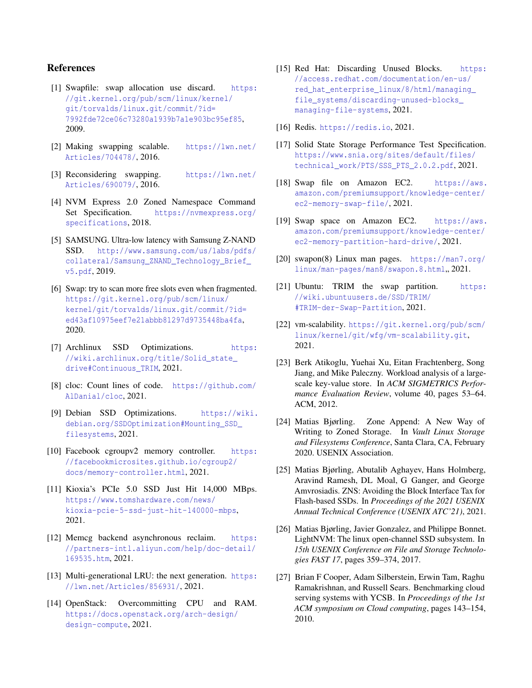# References

- <span id="page-12-17"></span>[1] Swapfile: swap allocation use discard. [https:](https://git.kernel.org/pub/scm/linux/kernel/git/torvalds/linux.git/commit/?id=7992fde72ce06c73280a1939b7a1e903bc95ef85) [//git.kernel.org/pub/scm/linux/kernel/](https://git.kernel.org/pub/scm/linux/kernel/git/torvalds/linux.git/commit/?id=7992fde72ce06c73280a1939b7a1e903bc95ef85) [git/torvalds/linux.git/commit/?id=](https://git.kernel.org/pub/scm/linux/kernel/git/torvalds/linux.git/commit/?id=7992fde72ce06c73280a1939b7a1e903bc95ef85) [7992fde72ce06c73280a1939b7a1e903bc95ef85](https://git.kernel.org/pub/scm/linux/kernel/git/torvalds/linux.git/commit/?id=7992fde72ce06c73280a1939b7a1e903bc95ef85), 2009.
- <span id="page-12-0"></span>[2] Making swapping scalable. [https://lwn.net/](https://lwn.net/Articles/704478/) [Articles/704478/](https://lwn.net/Articles/704478/), 2016.
- <span id="page-12-1"></span>[3] Reconsidering swapping. [https://lwn.net/](https://lwn.net/Articles/690079/) [Articles/690079/](https://lwn.net/Articles/690079/), 2016.
- <span id="page-12-7"></span>[4] NVM Express 2.0 Zoned Namespace Command Set Specification. [https://nvmexpress.org/](https://nvmexpress.org/specifications) [specifications](https://nvmexpress.org/specifications), 2018.
- <span id="page-12-4"></span>[5] SAMSUNG. Ultra-low latency with Samsung Z-NAND SSD. [http://www.samsung.com/us/labs/pdfs/](http://www.samsung.com/us/labs/pdfs/collateral/Samsung_ZNAND_Technology_Brief_v5.pdf) [collateral/Samsung\\_ZNAND\\_Technology\\_Brief\\_](http://www.samsung.com/us/labs/pdfs/collateral/Samsung_ZNAND_Technology_Brief_v5.pdf) [v5.pdf](http://www.samsung.com/us/labs/pdfs/collateral/Samsung_ZNAND_Technology_Brief_v5.pdf), 2019.
- <span id="page-12-19"></span>[6] Swap: try to scan more free slots even when fragmented. [https://git.kernel.org/pub/scm/linux/](https://git.kernel.org/pub/scm/linux/kernel/git/torvalds/linux.git/commit/?id=ed43af10975eef7e21abbb81297d9735448ba4fa) [kernel/git/torvalds/linux.git/commit/?id=](https://git.kernel.org/pub/scm/linux/kernel/git/torvalds/linux.git/commit/?id=ed43af10975eef7e21abbb81297d9735448ba4fa) [ed43af10975eef7e21abbb81297d9735448ba4fa](https://git.kernel.org/pub/scm/linux/kernel/git/torvalds/linux.git/commit/?id=ed43af10975eef7e21abbb81297d9735448ba4fa), 2020.
- <span id="page-12-13"></span>[7] Archlinux SSD Optimizations. [https:](https://wiki.archlinux.org/title/Solid_state_drive#Continuous_TRIM) [//wiki.archlinux.org/title/Solid\\_state\\_](https://wiki.archlinux.org/title/Solid_state_drive#Continuous_TRIM) [drive#Continuous\\_TRIM](https://wiki.archlinux.org/title/Solid_state_drive#Continuous_TRIM), 2021.
- <span id="page-12-20"></span>[8] cloc: Count lines of code. [https://github.com/](https://github. com/AlDanial/cloc) [AlDanial/cloc](https://github. com/AlDanial/cloc), 2021.
- <span id="page-12-14"></span>[9] Debian SSD Optimizations. [https://wiki.](https://wiki.debian.org/SSDOptimization#Mounting_SSD_filesystems) [debian.org/SSDOptimization#Mounting\\_SSD\\_](https://wiki.debian.org/SSDOptimization#Mounting_SSD_filesystems) [filesystems](https://wiki.debian.org/SSDOptimization#Mounting_SSD_filesystems), 2021.
- <span id="page-12-12"></span>[10] Facebook cgroupv2 memory controller. [https:](https://facebookmicrosites.github.io/cgroup2/docs/memory-controller.html) [//facebookmicrosites.github.io/cgroup2/](https://facebookmicrosites.github.io/cgroup2/docs/memory-controller.html) [docs/memory-controller.html](https://facebookmicrosites.github.io/cgroup2/docs/memory-controller.html), 2021.
- <span id="page-12-5"></span>[11] Kioxia's PCIe 5.0 SSD Just Hit 14,000 MBps. [https://www.tomshardware.com/news/](https://www.tomshardware.com/news/kioxia-pcie-5-ssd-just-hit-140000-mbps) [kioxia-pcie-5-ssd-just-hit-140000-mbps](https://www.tomshardware.com/news/kioxia-pcie-5-ssd-just-hit-140000-mbps), 2021.
- <span id="page-12-2"></span>[12] Memcg backend asynchronous reclaim. [https:](https://partners-intl.aliyun.com/help/doc-detail/169535.htm) [//partners-intl.aliyun.com/help/doc-detail/](https://partners-intl.aliyun.com/help/doc-detail/169535.htm) [169535.htm](https://partners-intl.aliyun.com/help/doc-detail/169535.htm), 2021.
- <span id="page-12-11"></span>[13] Multi-generational LRU: the next generation. [https:](https://lwn.net/Articles/856931/) [//lwn.net/Articles/856931/](https://lwn.net/Articles/856931/), 2021.
- <span id="page-12-3"></span>[14] OpenStack: Overcommitting CPU and RAM. [https://docs.openstack.org/arch-design/](https://docs.openstack.org/arch-design/design-compute) [design-compute](https://docs.openstack.org/arch-design/design-compute), 2021.
- <span id="page-12-15"></span>[15] Red Hat: Discarding Unused Blocks. [https:](https://access.redhat.com/documentation/en-us/red_hat_enterprise_linux/8/html/managing_file_systems/discarding-unused-blocks_managing-file-systems) [//access.redhat.com/documentation/en-us/](https://access.redhat.com/documentation/en-us/red_hat_enterprise_linux/8/html/managing_file_systems/discarding-unused-blocks_managing-file-systems) red hat enterprise linux/8/html/managing [file\\_systems/discarding-unused-blocks\\_](https://access.redhat.com/documentation/en-us/red_hat_enterprise_linux/8/html/managing_file_systems/discarding-unused-blocks_managing-file-systems) [managing-file-systems](https://access.redhat.com/documentation/en-us/red_hat_enterprise_linux/8/html/managing_file_systems/discarding-unused-blocks_managing-file-systems), 2021.
- <span id="page-12-25"></span>[16] Redis. <https://redis.io>, 2021.
- <span id="page-12-22"></span>[17] Solid State Storage Performance Test Specification. [https://www.snia.org/sites/default/files/](https://www.snia.org/sites/default/files/technical_work/PTS/SSS_PTS_2.0.2.pdf) technical work/PTS/SSS PTS 2.0.2.pdf, 2021.
- <span id="page-12-6"></span>[18] Swap file on Amazon EC2. [https://aws.](https://aws.amazon.com/premiumsupport/knowledge-center/ec2-memory-swap-file/) [amazon.com/premiumsupport/knowledge-center/](https://aws.amazon.com/premiumsupport/knowledge-center/ec2-memory-swap-file/) [ec2-memory-swap-file/](https://aws.amazon.com/premiumsupport/knowledge-center/ec2-memory-swap-file/), 2021.
- <span id="page-12-21"></span>[19] Swap space on Amazon EC2. [https://aws.](https://aws.amazon.com/premiumsupport/knowledge-center/ec2-memory-partition-hard-drive/) [amazon.com/premiumsupport/knowledge-center/](https://aws.amazon.com/premiumsupport/knowledge-center/ec2-memory-partition-hard-drive/) [ec2-memory-partition-hard-drive/](https://aws.amazon.com/premiumsupport/knowledge-center/ec2-memory-partition-hard-drive/), 2021.
- <span id="page-12-18"></span>[20] swapon(8) Linux man pages. [https://man7.org/](https://man7.org/linux/man-pages/man8/swapon.8.html) [linux/man-pages/man8/swapon.8.html](https://man7.org/linux/man-pages/man8/swapon.8.html), 2021.
- <span id="page-12-16"></span>[21] Ubuntu: TRIM the swap partition. [https:](https://wiki.ubuntuusers.de/SSD/TRIM/#TRIM-der-Swap-Partition) [//wiki.ubuntuusers.de/SSD/TRIM/](https://wiki.ubuntuusers.de/SSD/TRIM/#TRIM-der-Swap-Partition) [#TRIM-der-Swap-Partition](https://wiki.ubuntuusers.de/SSD/TRIM/#TRIM-der-Swap-Partition), 2021.
- <span id="page-12-23"></span>[22] vm-scalability. [https://git.kernel.org/pub/scm/](https://git.kernel.org/pub/scm/linux/kernel/git/wfg/vm-scalability.git) [linux/kernel/git/wfg/vm-scalability.git](https://git.kernel.org/pub/scm/linux/kernel/git/wfg/vm-scalability.git), 2021.
- <span id="page-12-24"></span>[23] Berk Atikoglu, Yuehai Xu, Eitan Frachtenberg, Song Jiang, and Mike Paleczny. Workload analysis of a largescale key-value store. In *ACM SIGMETRICS Performance Evaluation Review*, volume 40, pages 53–64. ACM, 2012.
- <span id="page-12-10"></span>[24] Matias Bjørling. Zone Append: A New Way of Writing to Zoned Storage. In *Vault Linux Storage and Filesystems Conference*, Santa Clara, CA, February 2020. USENIX Association.
- <span id="page-12-8"></span>[25] Matias Bjørling, Abutalib Aghayev, Hans Holmberg, Aravind Ramesh, DL Moal, G Ganger, and George Amvrosiadis. ZNS: Avoiding the Block Interface Tax for Flash-based SSDs. In *Proceedings of the 2021 USENIX Annual Technical Conference (USENIX ATC'21)*, 2021.
- <span id="page-12-9"></span>[26] Matias Bjørling, Javier Gonzalez, and Philippe Bonnet. LightNVM: The linux open-channel SSD subsystem. In *15th USENIX Conference on File and Storage Technologies FAST 17*, pages 359–374, 2017.
- <span id="page-12-26"></span>[27] Brian F Cooper, Adam Silberstein, Erwin Tam, Raghu Ramakrishnan, and Russell Sears. Benchmarking cloud serving systems with YCSB. In *Proceedings of the 1st ACM symposium on Cloud computing*, pages 143–154, 2010.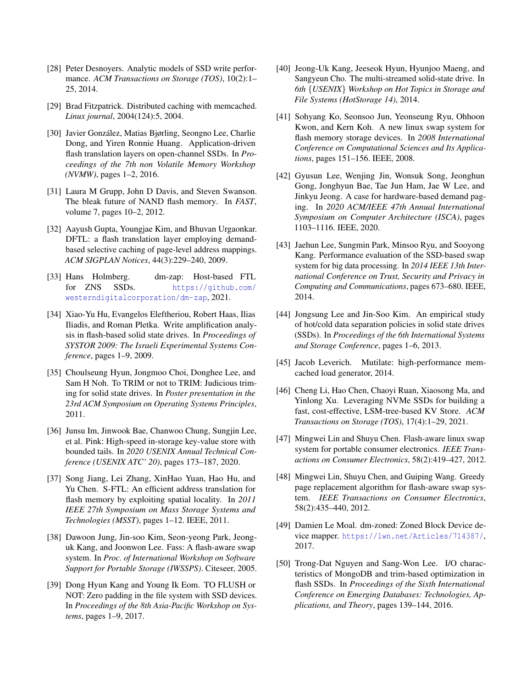- <span id="page-13-6"></span>[28] Peter Desnoyers. Analytic models of SSD write performance. *ACM Transactions on Storage (TOS)*, 10(2):1– 25, 2014.
- <span id="page-13-16"></span>[29] Brad Fitzpatrick. Distributed caching with memcached. *Linux journal*, 2004(124):5, 2004.
- <span id="page-13-2"></span>[30] Javier González, Matias Bjørling, Seongno Lee, Charlie Dong, and Yiren Ronnie Huang. Application-driven flash translation layers on open-channel SSDs. In *Proceedings of the 7th non Volatile Memory Workshop (NVMW)*, pages 1–2, 2016.
- <span id="page-13-13"></span>[31] Laura M Grupp, John D Davis, and Steven Swanson. The bleak future of NAND flash memory. In *FAST*, volume 7, pages 10–2, 2012.
- <span id="page-13-9"></span>[32] Aayush Gupta, Youngjae Kim, and Bhuvan Urgaonkar. DFTL: a flash translation layer employing demandbased selective caching of page-level address mappings. *ACM SIGPLAN Notices*, 44(3):229–240, 2009.
- <span id="page-13-12"></span>[33] Hans Holmberg. dm-zap: Host-based FTL for ZNS SSDs. [https://github.com/](https://github.com/westerndigitalcorporation/dm-zap) [westerndigitalcorporation/dm-zap](https://github.com/westerndigitalcorporation/dm-zap), 2021.
- <span id="page-13-7"></span>[34] Xiao-Yu Hu, Evangelos Eleftheriou, Robert Haas, Ilias Iliadis, and Roman Pletka. Write amplification analysis in flash-based solid state drives. In *Proceedings of SYSTOR 2009: The Israeli Experimental Systems Conference*, pages 1–9, 2009.
- <span id="page-13-3"></span>[35] Choulseung Hyun, Jongmoo Choi, Donghee Lee, and Sam H Noh. To TRIM or not to TRIM: Judicious triming for solid state drives. In *Poster presentation in the 23rd ACM Symposium on Operating Systems Principles*, 2011.
- <span id="page-13-14"></span>[36] Junsu Im, Jinwook Bae, Chanwoo Chung, Sungjin Lee, et al. Pink: High-speed in-storage key-value store with bounded tails. In *2020 USENIX Annual Technical Conference (USENIX ATC' 20)*, pages 173–187, 2020.
- <span id="page-13-10"></span>[37] Song Jiang, Lei Zhang, XinHao Yuan, Hao Hu, and Yu Chen. S-FTL: An efficient address translation for flash memory by exploiting spatial locality. In *2011 IEEE 27th Symposium on Mass Storage Systems and Technologies (MSST)*, pages 1–12. IEEE, 2011.
- <span id="page-13-19"></span>[38] Dawoon Jung, Jin-soo Kim, Seon-yeong Park, Jeonguk Kang, and Joonwon Lee. Fass: A flash-aware swap system. In *Proc. of International Workshop on Software Support for Portable Storage (IWSSPS)*. Citeseer, 2005.
- <span id="page-13-4"></span>[39] Dong Hyun Kang and Young Ik Eom. TO FLUSH or NOT: Zero padding in the file system with SSD devices. In *Proceedings of the 8th Asia-Pacific Workshop on Systems*, pages 1–9, 2017.
- <span id="page-13-22"></span>[40] Jeong-Uk Kang, Jeeseok Hyun, Hyunjoo Maeng, and Sangyeun Cho. The multi-streamed solid-state drive. In *6th* {*USENIX*} *Workshop on Hot Topics in Storage and File Systems (HotStorage 14)*, 2014.
- <span id="page-13-20"></span>[41] Sohyang Ko, Seonsoo Jun, Yeonseung Ryu, Ohhoon Kwon, and Kern Koh. A new linux swap system for flash memory storage devices. In *2008 International Conference on Computational Sciences and Its Applications*, pages 151–156. IEEE, 2008.
- <span id="page-13-0"></span>[42] Gyusun Lee, Wenjing Jin, Wonsuk Song, Jeonghun Gong, Jonghyun Bae, Tae Jun Ham, Jae W Lee, and Jinkyu Jeong. A case for hardware-based demand paging. In *2020 ACM/IEEE 47th Annual International Symposium on Computer Architecture (ISCA)*, pages 1103–1116. IEEE, 2020.
- <span id="page-13-1"></span>[43] Jaehun Lee, Sungmin Park, Minsoo Ryu, and Sooyong Kang. Performance evaluation of the SSD-based swap system for big data processing. In *2014 IEEE 13th International Conference on Trust, Security and Privacy in Computing and Communications*, pages 673–680. IEEE, 2014.
- <span id="page-13-8"></span>[44] Jongsung Lee and Jin-Soo Kim. An empirical study of hot/cold data separation policies in solid state drives (SSDs). In *Proceedings of the 6th International Systems and Storage Conference*, pages 1–6, 2013.
- <span id="page-13-17"></span>[45] Jacob Leverich. Mutilate: high-performance memcached load generator, 2014.
- <span id="page-13-15"></span>[46] Cheng Li, Hao Chen, Chaoyi Ruan, Xiaosong Ma, and Yinlong Xu. Leveraging NVMe SSDs for building a fast, cost-effective, LSM-tree-based KV Store. *ACM Transactions on Storage (TOS)*, 17(4):1–29, 2021.
- <span id="page-13-21"></span>[47] Mingwei Lin and Shuyu Chen. Flash-aware linux swap system for portable consumer electronics. *IEEE Transactions on Consumer Electronics*, 58(2):419–427, 2012.
- <span id="page-13-18"></span>[48] Mingwei Lin, Shuyu Chen, and Guiping Wang. Greedy page replacement algorithm for flash-aware swap system. *IEEE Transactions on Consumer Electronics*, 58(2):435–440, 2012.
- <span id="page-13-11"></span>[49] Damien Le Moal. dm-zoned: Zoned Block Device device mapper. <https://lwn.net/Articles/714387/>, 2017.
- <span id="page-13-5"></span>[50] Trong-Dat Nguyen and Sang-Won Lee. I/O characteristics of MongoDB and trim-based optimization in flash SSDs. In *Proceedings of the Sixth International Conference on Emerging Databases: Technologies, Applications, and Theory*, pages 139–144, 2016.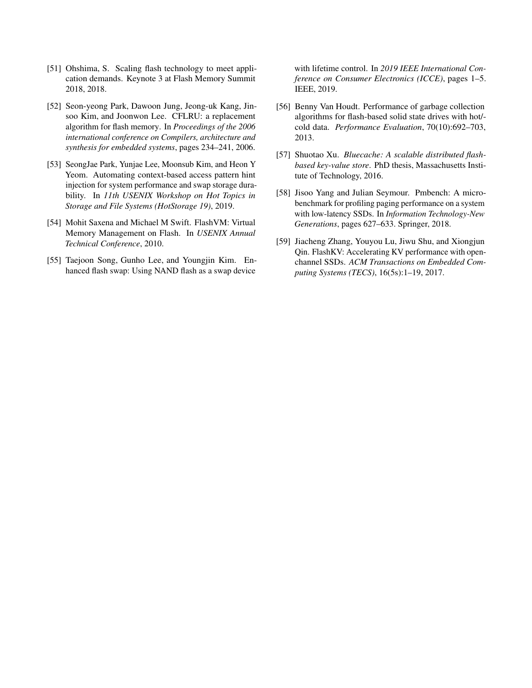- <span id="page-14-2"></span>[51] Ohshima, S. Scaling flash technology to meet application demands. Keynote 3 at Flash Memory Summit 2018, 2018.
- <span id="page-14-8"></span>[52] Seon-yeong Park, Dawoon Jung, Jeong-uk Kang, Jinsoo Kim, and Joonwon Lee. CFLRU: a replacement algorithm for flash memory. In *Proceedings of the 2006 international conference on Compilers, architecture and synthesis for embedded systems*, pages 234–241, 2006.
- <span id="page-14-0"></span>[53] SeongJae Park, Yunjae Lee, Moonsub Kim, and Heon Y Yeom. Automating context-based access pattern hint injection for system performance and swap storage durability. In *11th USENIX Workshop on Hot Topics in Storage and File Systems (HotStorage 19)*, 2019.
- <span id="page-14-1"></span>[54] Mohit Saxena and Michael M Swift. FlashVM: Virtual Memory Management on Flash. In *USENIX Annual Technical Conference*, 2010.
- <span id="page-14-3"></span>[55] Taejoon Song, Gunho Lee, and Youngjin Kim. Enhanced flash swap: Using NAND flash as a swap device

with lifetime control. In *2019 IEEE International Conference on Consumer Electronics (ICCE)*, pages 1–5. IEEE, 2019.

- <span id="page-14-5"></span>[56] Benny Van Houdt. Performance of garbage collection algorithms for flash-based solid state drives with hot/ cold data. *Performance Evaluation*, 70(10):692–703, 2013.
- <span id="page-14-7"></span>[57] Shuotao Xu. *Bluecache: A scalable distributed flashbased key-value store*. PhD thesis, Massachusetts Institute of Technology, 2016.
- <span id="page-14-6"></span>[58] Jisoo Yang and Julian Seymour. Pmbench: A microbenchmark for profiling paging performance on a system with low-latency SSDs. In *Information Technology-New Generations*, pages 627–633. Springer, 2018.
- <span id="page-14-4"></span>[59] Jiacheng Zhang, Youyou Lu, Jiwu Shu, and Xiongjun Qin. FlashKV: Accelerating KV performance with openchannel SSDs. *ACM Transactions on Embedded Computing Systems (TECS)*, 16(5s):1–19, 2017.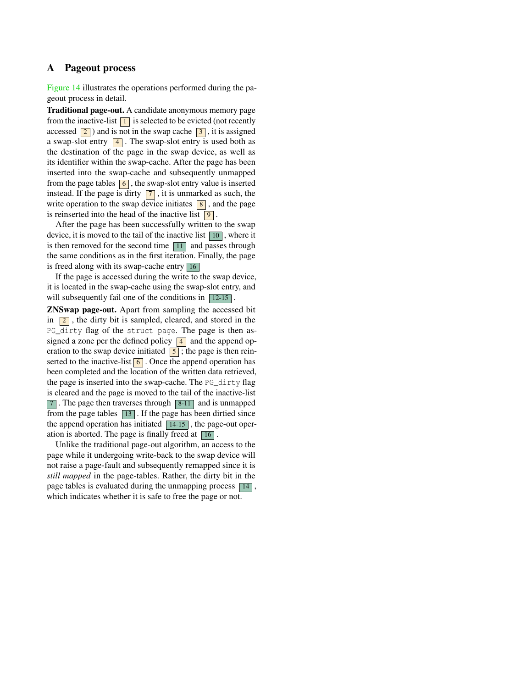# <span id="page-15-0"></span>A Pageout process

[Figure 14](#page-16-0) illustrates the operations performed during the pageout process in detail.

Traditional page-out. A candidate anonymous memory page from the inactive-list  $\boxed{1}$  is selected to be evicted (not recently accessed  $\boxed{2}$ ) and is not in the swap cache  $\boxed{3}$ , it is assigned a swap-slot entry  $\boxed{4}$ . The swap-slot entry is used both as the destination of the page in the swap device, as well as its identifier within the swap-cache. After the page has been inserted into the swap-cache and subsequently unmapped from the page tables  $\boxed{6}$ , the swap-slot entry value is inserted instead. If the page is dirty  $\boxed{7}$ , it is unmarked as such, the write operation to the swap device initiates  $\boxed{8}$ , and the page is reinserted into the head of the inactive list  $\boxed{9}$ .

After the page has been successfully written to the swap device, it is moved to the tail of the inactive list  $\boxed{10}$ , where it is then removed for the second time  $\boxed{11}$  and passes through the same conditions as in the first iteration. Finally, the page is freed along with its swap-cache entry  $\boxed{16}$ 

If the page is accessed during the write to the swap device, it is located in the swap-cache using the swap-slot entry, and will subsequently fail one of the conditions in  $\boxed{12-15}$ 

ZNSwap page-out. Apart from sampling the accessed bit in  $\boxed{2}$ , the dirty bit is sampled, cleared, and stored in the PG\_dirty flag of the struct page. The page is then assigned a zone per the defined policy  $\boxed{4}$  and the append operation to the swap device initiated  $\boxed{5}$ ; the page is then reinserted to the inactive-list  $\boxed{6}$ . Once the append operation has been completed and the location of the written data retrieved, the page is inserted into the swap-cache. The PG\_dirty flag is cleared and the page is moved to the tail of the inactive-list 7 . The page then traverses through 8-11 and is unmapped from the page tables  $\boxed{13}$ . If the page has been dirtied since the append operation has initiated  $\boxed{14-15}$ , the page-out operation is aborted. The page is finally freed at  $\boxed{16}$ .

Unlike the traditional page-out algorithm, an access to the page while it undergoing write-back to the swap device will not raise a page-fault and subsequently remapped since it is *still mapped* in the page-tables. Rather, the dirty bit in the page tables is evaluated during the unmapping process  $\boxed{14}$ , which indicates whether it is safe to free the page or not.